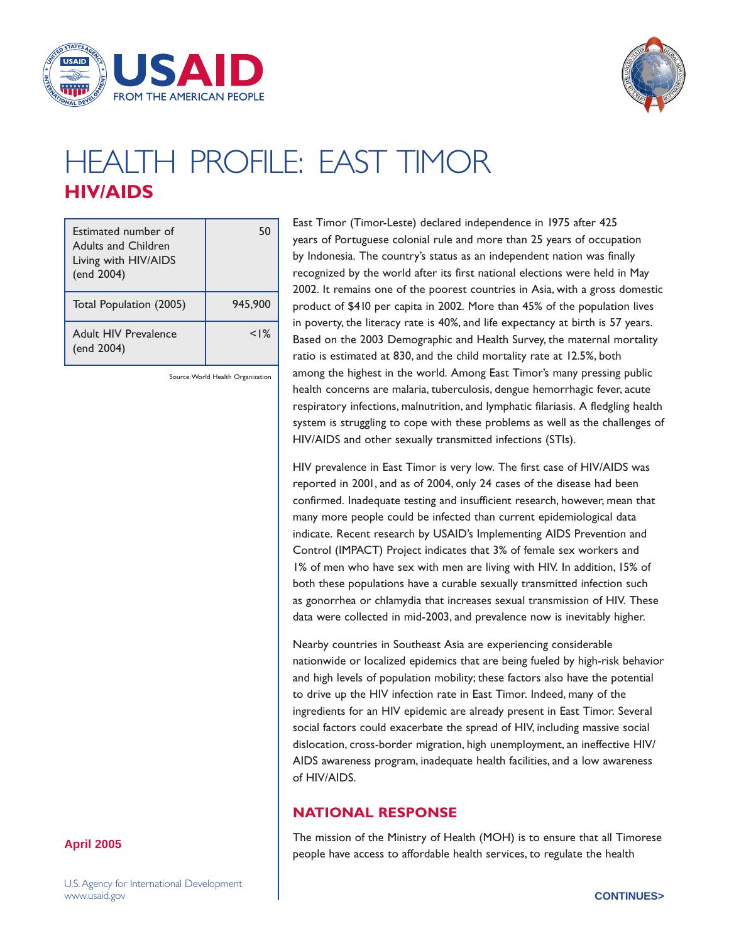



# HEALTH PROFILE: East Timor **HIV/AIDS**

| Estimated number of<br><b>Adults and Children</b><br>Living with HIV/AIDS<br>(end 2004) | 50      |
|-----------------------------------------------------------------------------------------|---------|
| Total Population (2005)                                                                 | 945,900 |
| Adult HIV Prevalence<br>(end 2004)                                                      | < 1%    |

Source: World Health Organization

East Timor (Timor-Leste) declared independence in 1975 after 425 years of Portuguese colonial rule and more than 25 years of occupation by Indonesia. The country's status as an independent nation was finally recognized by the world after its first national elections were held in May 2002. It remains one of the poorest countries in Asia, with a gross domestic product of \$410 per capita in 2002. More than 45% of the population lives in poverty, the literacy rate is 40%, and life expectancy at birth is 57 years. Based on the 2003 Demographic and Health Survey, the maternal mortality ratio is estimated at 830, and the child mortality rate at 12.5%, both among the highest in the world. Among East Timor's many pressing public health concerns are malaria, tuberculosis, dengue hemorrhagic fever, acute respiratory infections, malnutrition, and lymphatic filariasis. A fledgling health system is struggling to cope with these problems as well as the challenges of HIV/AIDS and other sexually transmitted infections (STIs).

HIV prevalence in East Timor is very low. The first case of HIV/AIDS was reported in 2001, and as of 2004, only 24 cases of the disease had been confirmed. Inadequate testing and insufficient research, however, mean that many more people could be infected than current epidemiological data indicate. Recent research by USAID's Implementing AIDS Prevention and Control (IMPACT) Project indicates that 3% of female sex workers and 1% of men who have sex with men are living with HIV. In addition, 15% of both these populations have a curable sexually transmitted infection such as gonorrhea or chlamydia that increases sexual transmission of HIV. These data were collected in mid-2003, and prevalence now is inevitably higher.

Nearby countries in Southeast Asia are experiencing considerable nationwide or localized epidemics that are being fueled by high-risk behavior and high levels of population mobility; these factors also have the potential to drive up the HIV infection rate in East Timor. Indeed, many of the ingredients for an HIV epidemic are already present in East Timor. Several social factors could exacerbate the spread of HIV, including massive social dislocation, cross-border migration, high unemployment, an ineffective HIV/ AIDS awareness program, inadequate health facilities, and a low awareness of HIV/AIDS.

## **NATIONAL RESPONSE**

The mission of the Ministry of Health (MOH) is to ensure that all Timorese people have access to affordable health services, to regulate the health

#### **April 2005**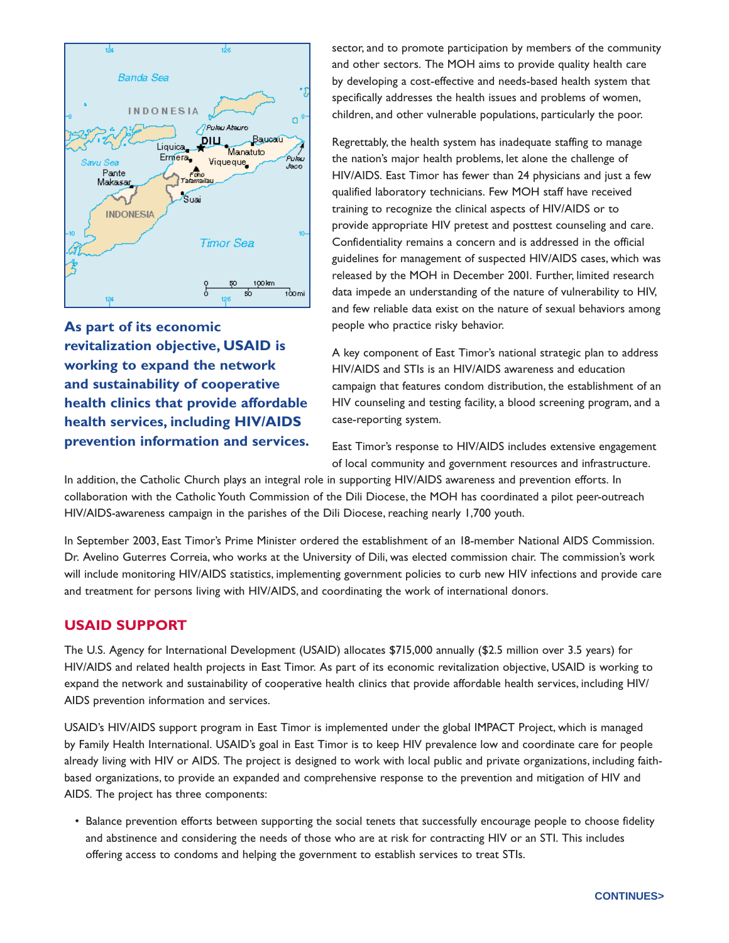

**As part of its economic revitalization objective, USAID is working to expand the network and sustainability of cooperative health clinics that provide affordable health services, including HIV/AIDS prevention information and services.** sector, and to promote participation by members of the community and other sectors. The MOH aims to provide quality health care by developing a cost-effective and needs-based health system that specifically addresses the health issues and problems of women, children, and other vulnerable populations, particularly the poor.

Regrettably, the health system has inadequate staffing to manage the nation's major health problems, let alone the challenge of HIV/AIDS. East Timor has fewer than 24 physicians and just a few qualified laboratory technicians. Few MOH staff have received training to recognize the clinical aspects of HIV/AIDS or to provide appropriate HIV pretest and posttest counseling and care. Confidentiality remains a concern and is addressed in the official guidelines for management of suspected HIV/AIDS cases, which was released by the MOH in December 2001. Further, limited research data impede an understanding of the nature of vulnerability to HIV, and few reliable data exist on the nature of sexual behaviors among people who practice risky behavior.

A key component of East Timor's national strategic plan to address HIV/AIDS and STIs is an HIV/AIDS awareness and education campaign that features condom distribution, the establishment of an HIV counseling and testing facility, a blood screening program, and a case-reporting system.

East Timor's response to HIV/AIDS includes extensive engagement of local community and government resources and infrastructure.

In addition, the Catholic Church plays an integral role in supporting HIV/AIDS awareness and prevention efforts. In collaboration with the Catholic Youth Commission of the Dili Diocese, the MOH has coordinated a pilot peer-outreach HIV/AIDS-awareness campaign in the parishes of the Dili Diocese, reaching nearly 1,700 youth.

In September 2003, East Timor's Prime Minister ordered the establishment of an 18-member National AIDS Commission. Dr. Avelino Guterres Correia, who works at the University of Dili, was elected commission chair. The commission's work will include monitoring HIV/AIDS statistics, implementing government policies to curb new HIV infections and provide care and treatment for persons living with HIV/AIDS, and coordinating the work of international donors.

### **USAID SUPPORT**

The U.S. Agency for International Development (USAID) allocates \$715,000 annually (\$2.5 million over 3.5 years) for HIV/AIDS and related health projects in East Timor. As part of its economic revitalization objective, USAID is working to expand the network and sustainability of cooperative health clinics that provide affordable health services, including HIV/ AIDS prevention information and services.

USAID's HIV/AIDS support program in East Timor is implemented under the global IMPACT Project, which is managed by Family Health International. USAID's goal in East Timor is to keep HIV prevalence low and coordinate care for people already living with HIV or AIDS. The project is designed to work with local public and private organizations, including faithbased organizations, to provide an expanded and comprehensive response to the prevention and mitigation of HIV and AIDS. The project has three components:

• Balance prevention efforts between supporting the social tenets that successfully encourage people to choose fidelity and abstinence and considering the needs of those who are at risk for contracting HIV or an STI. This includes offering access to condoms and helping the government to establish services to treat STIs.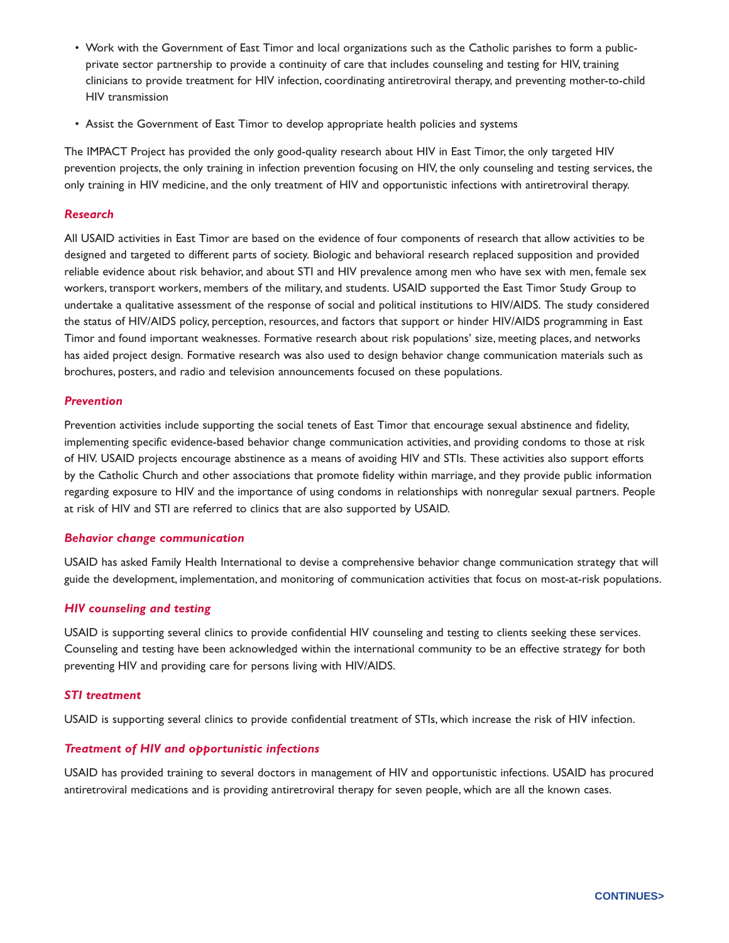- Work with the Government of East Timor and local organizations such as the Catholic parishes to form a publicprivate sector partnership to provide a continuity of care that includes counseling and testing for HIV, training clinicians to provide treatment for HIV infection, coordinating antiretroviral therapy, and preventing mother-to-child HIV transmission
- Assist the Government of East Timor to develop appropriate health policies and systems

The IMPACT Project has provided the only good-quality research about HIV in East Timor, the only targeted HIV prevention projects, the only training in infection prevention focusing on HIV, the only counseling and testing services, the only training in HIV medicine, and the only treatment of HIV and opportunistic infections with antiretroviral therapy.

#### *Research*

All USAID activities in East Timor are based on the evidence of four components of research that allow activities to be designed and targeted to different parts of society. Biologic and behavioral research replaced supposition and provided reliable evidence about risk behavior, and about STI and HIV prevalence among men who have sex with men, female sex workers, transport workers, members of the military, and students. USAID supported the East Timor Study Group to undertake a qualitative assessment of the response of social and political institutions to HIV/AIDS. The study considered the status of HIV/AIDS policy, perception, resources, and factors that support or hinder HIV/AIDS programming in East Timor and found important weaknesses. Formative research about risk populations' size, meeting places, and networks has aided project design. Formative research was also used to design behavior change communication materials such as brochures, posters, and radio and television announcements focused on these populations.

#### *Prevention*

Prevention activities include supporting the social tenets of East Timor that encourage sexual abstinence and fidelity, implementing specific evidence-based behavior change communication activities, and providing condoms to those at risk of HIV. USAID projects encourage abstinence as a means of avoiding HIV and STIs. These activities also support efforts by the Catholic Church and other associations that promote fidelity within marriage, and they provide public information regarding exposure to HIV and the importance of using condoms in relationships with nonregular sexual partners. People at risk of HIV and STI are referred to clinics that are also supported by USAID.

#### *Behavior change communication*

USAID has asked Family Health International to devise a comprehensive behavior change communication strategy that will guide the development, implementation, and monitoring of communication activities that focus on most-at-risk populations.

#### *HIV counseling and testing*

USAID is supporting several clinics to provide confidential HIV counseling and testing to clients seeking these services. Counseling and testing have been acknowledged within the international community to be an effective strategy for both preventing HIV and providing care for persons living with HIV/AIDS.

#### *STI treatment*

USAID is supporting several clinics to provide confidential treatment of STIs, which increase the risk of HIV infection.

#### *Treatment of HIV and opportunistic infections*

USAID has provided training to several doctors in management of HIV and opportunistic infections. USAID has procured antiretroviral medications and is providing antiretroviral therapy for seven people, which are all the known cases.